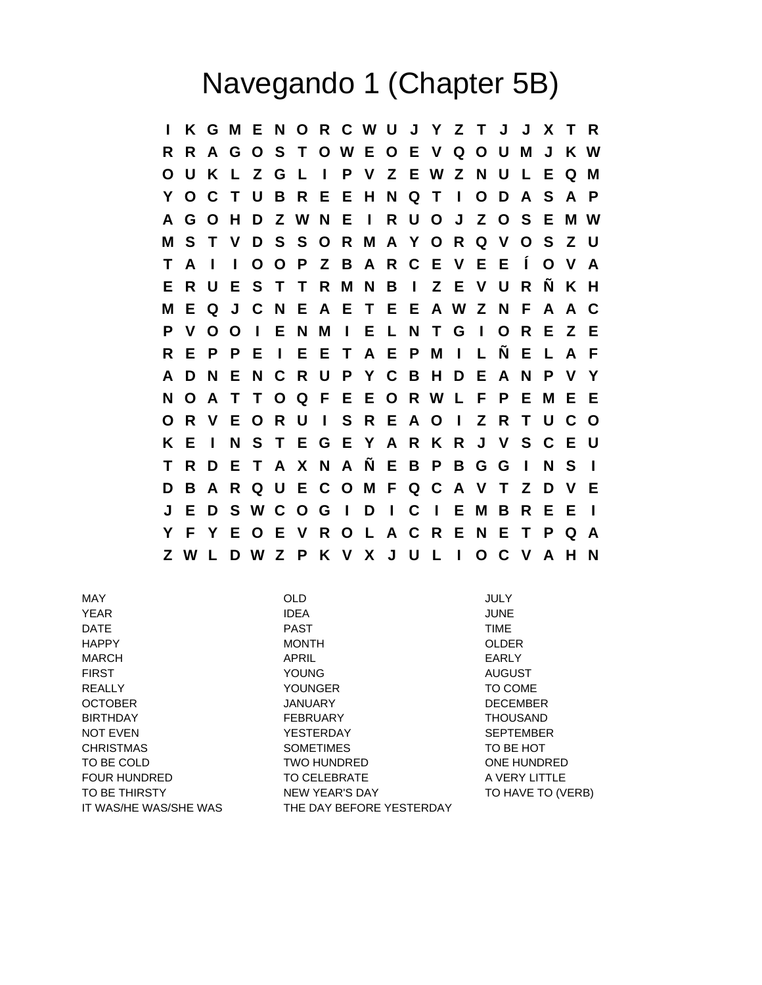## Navegando 1 (Chapter 5B)

**I K G M E N O R C W U J Y Z T J J X T R R R A G O S T O W E O E V Q O U M J K W O U K L Z G L I P V Z E W Z N U L E Q M Y O C T U B R E E H N Q T I O D A S A P A G O H D Z W N E I R U O J Z O S E M W M S T V D S S O R M A Y O R Q V O S Z U T A I I O O P Z B A R C E V E E Í O V A E R U E S T T R M N B I Z E V U R Ñ K H M E Q J C N E A E T E E A W Z N F A A C P V O O I E N M I E L N T G I O R E Z E R E P P E I E E T A E P M I L Ñ E L A F A D N E N C R U P Y C B H D E A N P V Y N O A T T O Q F E E O R W L F P E M E E O R V E O R U I S R E A O I Z R T U C O K E I N S T E G E Y A R K R J V S C E U T R D E T A X N A Ñ E B P B G G I N S I D B A R Q U E C O M F Q C A V T Z D V E J E D S W C O G I D I C I E M B R E E I Y F Y E O E V R O L A C R E N E T P Q A Z W L D W Z P K V X J U L I O C V A H N**

MAY OLD JULY YEAR IDEA JUNE DATE TIME RAST PAST TIME HAPPY MONTH OLDER MARCH APRIL EARLY FIRST YOUNG AUGUST REALLY **TO COME TO COME TO COME** OCTOBER JANUARY DECEMBER BIRTHDAY FEBRUARY THOUSAND NOT EVEN SEPTEMBER YESTERDAY SEPTEMBER CHRISTMAS SOMETIMES TO BE HOT TO BE COLD **TWO HUNDRED** ONE HUNDRED FOUR HUNDRED TO CELEBRATE TO A VERY LITTLE TO BE THIRSTY NEW YEAR'S DAY TO HAVE TO (VERB) IT WAS/HE WAS/SHE WAS THE DAY BEFORE YESTERDAY